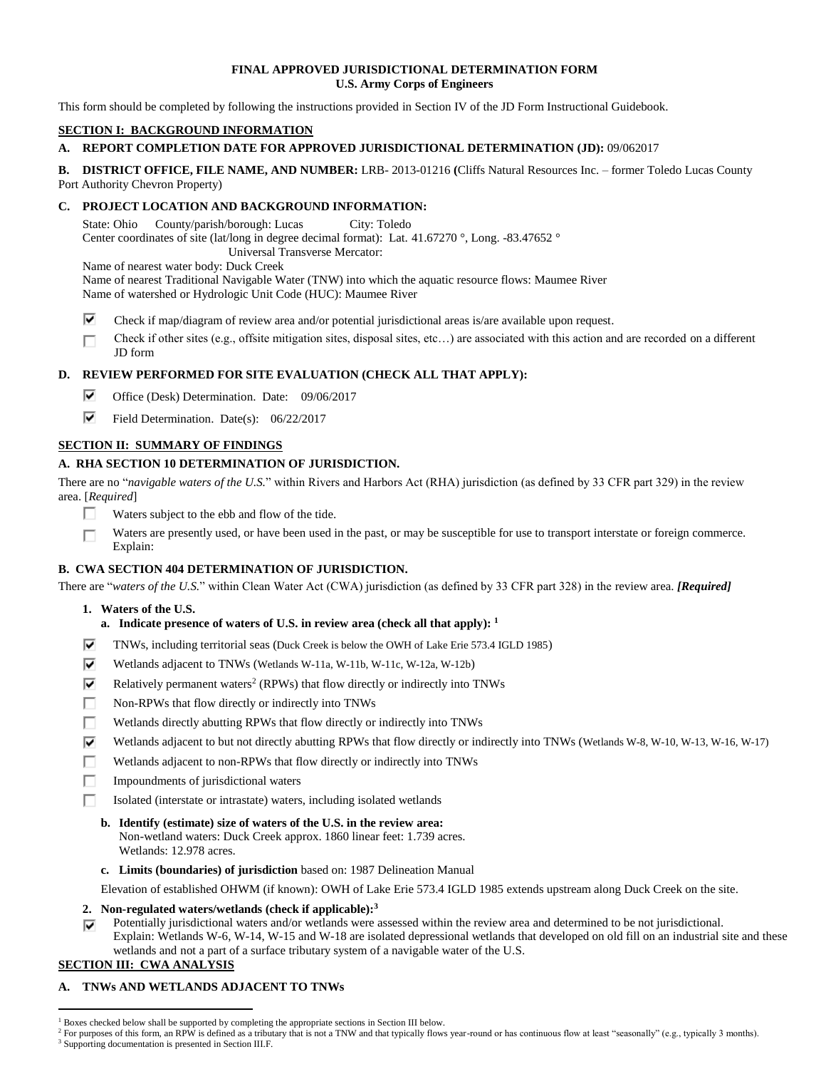## **FINAL APPROVED JURISDICTIONAL DETERMINATION FORM U.S. Army Corps of Engineers**

This form should be completed by following the instructions provided in Section IV of the JD Form Instructional Guidebook.

# **SECTION I: BACKGROUND INFORMATION**

# **A. REPORT COMPLETION DATE FOR APPROVED JURISDICTIONAL DETERMINATION (JD):** 09/062017

**B. DISTRICT OFFICE, FILE NAME, AND NUMBER:** LRB- 2013-01216 **(**Cliffs Natural Resources Inc. – former Toledo Lucas County Port Authority Chevron Property)

# **C. PROJECT LOCATION AND BACKGROUND INFORMATION:**

State: Ohio County/parish/borough: Lucas City: Toledo Center coordinates of site (lat/long in degree decimal format): Lat. 41.67270 °, Long. -83.47652 ° Universal Transverse Mercator:

Name of nearest water body: Duck Creek

Name of nearest Traditional Navigable Water (TNW) into which the aquatic resource flows: Maumee River Name of watershed or Hydrologic Unit Code (HUC): Maumee River

- ⊽ Check if map/diagram of review area and/or potential jurisdictional areas is/are available upon request.
- Check if other sites (e.g., offsite mitigation sites, disposal sites, etc…) are associated with this action and are recorded on a different П JD form

# **D. REVIEW PERFORMED FOR SITE EVALUATION (CHECK ALL THAT APPLY):**

- ⊽ Office (Desk) Determination. Date: 09/06/2017
- ⊽ Field Determination. Date(s): 06/22/2017

# **SECTION II: SUMMARY OF FINDINGS**

# **A. RHA SECTION 10 DETERMINATION OF JURISDICTION.**

There are no "*navigable waters of the U.S.*" within Rivers and Harbors Act (RHA) jurisdiction (as defined by 33 CFR part 329) in the review area. [*Required*]

- П. Waters subject to the ebb and flow of the tide.
- Waters are presently used, or have been used in the past, or may be susceptible for use to transport interstate or foreign commerce. п Explain:

# **B. CWA SECTION 404 DETERMINATION OF JURISDICTION.**

There are "*waters of the U.S.*" within Clean Water Act (CWA) jurisdiction (as defined by 33 CFR part 328) in the review area. *[Required]*

**1. Waters of the U.S.**

# **a. Indicate presence of waters of U.S. in review area (check all that apply): 1**

- ⊽ TNWs, including territorial seas (Duck Creek is below the OWH of Lake Erie 573.4 IGLD 1985)
- ⊽ Wetlands adjacent to TNWs (Wetlands W-11a, W-11b, W-11c, W-12a, W-12b)
- ⊽ Relatively permanent waters<sup>2</sup> (RPWs) that flow directly or indirectly into TNWs
- П. Non-RPWs that flow directly or indirectly into TNWs
- п. Wetlands directly abutting RPWs that flow directly or indirectly into TNWs
- ⊽ Wetlands adjacent to but not directly abutting RPWs that flow directly or indirectly into TNWs (Wetlands W-8, W-10, W-13, W-16, W-17)
- п Wetlands adjacent to non-RPWs that flow directly or indirectly into TNWs
- Impoundments of jurisdictional waters П.
- п Isolated (interstate or intrastate) waters, including isolated wetlands
	- **b. Identify (estimate) size of waters of the U.S. in the review area:** Non-wetland waters: Duck Creek approx. 1860 linear feet: 1.739 acres. Wetlands: 12.978 acres.
	- **c. Limits (boundaries) of jurisdiction** based on: 1987 Delineation Manual
- Elevation of established OHWM (if known): OWH of Lake Erie 573.4 IGLD 1985 extends upstream along Duck Creek on the site.
- **2. Non-regulated waters/wetlands (check if applicable): 3**
- Potentially jurisdictional waters and/or wetlands were assessed within the review area and determined to be not jurisdictional. ⊽ Explain: Wetlands W-6, W-14, W-15 and W-18 are isolated depressional wetlands that developed on old fill on an industrial site and these
- wetlands and not a part of a surface tributary system of a navigable water of the U.S. **SECTION III: CWA ANALYSIS**

# **A. TNWs AND WETLANDS ADJACENT TO TNWs**

 $\overline{a}$ 

<sup>&</sup>lt;sup>1</sup> Boxes checked below shall be supported by completing the appropriate sections in Section III below.

<sup>&</sup>lt;sup>2</sup> For purposes of this form, an RPW is defined as a tributary that is not a TNW and that typically flows year-round or has continuous flow at least "seasonally" (e.g., typically 3 months).

<sup>&</sup>lt;sup>3</sup> Supporting documentation is presented in Section III.F.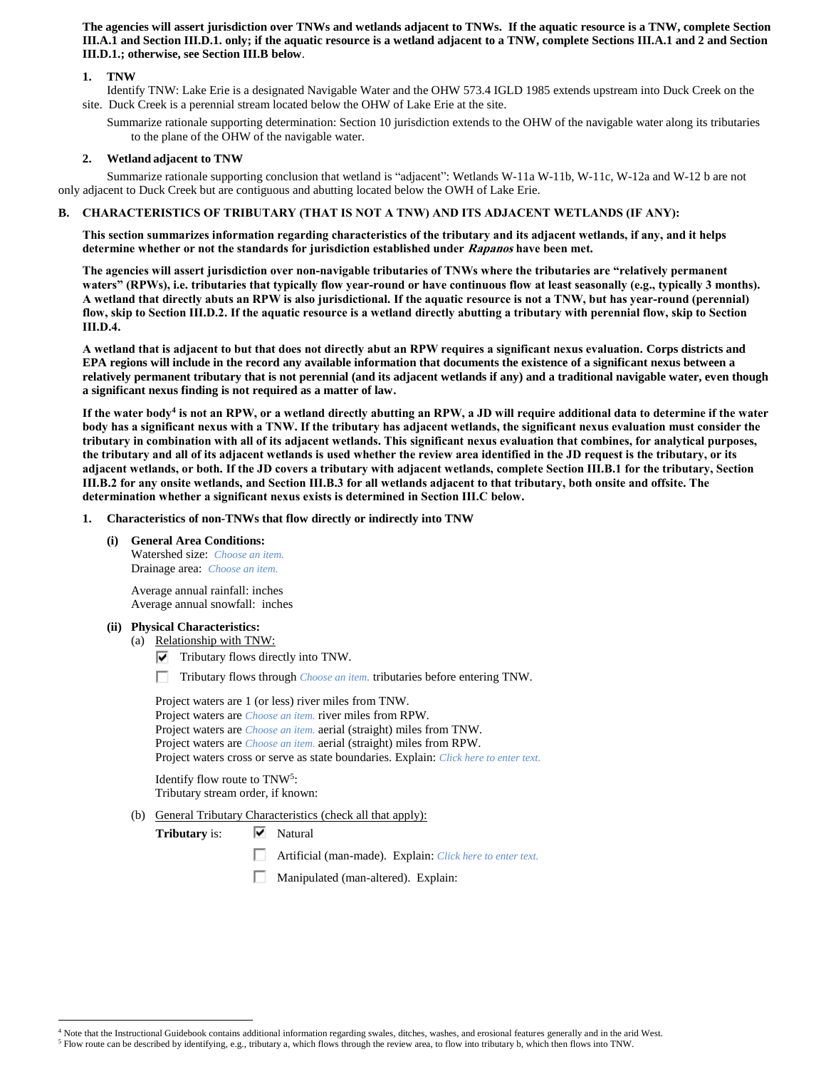**The agencies will assert jurisdiction over TNWs and wetlands adjacent to TNWs. If the aquatic resource is a TNW, complete Section III.A.1 and Section III.D.1. only; if the aquatic resource is a wetland adjacent to a TNW, complete Sections III.A.1 and 2 and Section III.D.1.; otherwise, see Section III.B below**.

## **1. TNW**

- Identify TNW: Lake Erie is a designated Navigable Water and the OHW 573.4 IGLD 1985 extends upstream into Duck Creek on the site. Duck Creek is a perennial stream located below the OHW of Lake Erie at the site.
	- Summarize rationale supporting determination: Section 10 jurisdiction extends to the OHW of the navigable water along its tributaries to the plane of the OHW of the navigable water.

### **2. Wetland adjacent to TNW**

Summarize rationale supporting conclusion that wetland is "adjacent": Wetlands W-11a W-11b, W-11c, W-12a and W-12 b are not only adjacent to Duck Creek but are contiguous and abutting located below the OWH of Lake Erie.

### **B. CHARACTERISTICS OF TRIBUTARY (THAT IS NOT A TNW) AND ITS ADJACENT WETLANDS (IF ANY):**

**This section summarizes information regarding characteristics of the tributary and its adjacent wetlands, if any, and it helps determine whether or not the standards for jurisdiction established under Rapanos have been met.** 

**The agencies will assert jurisdiction over non-navigable tributaries of TNWs where the tributaries are "relatively permanent waters" (RPWs), i.e. tributaries that typically flow year-round or have continuous flow at least seasonally (e.g., typically 3 months). A wetland that directly abuts an RPW is also jurisdictional. If the aquatic resource is not a TNW, but has year-round (perennial) flow, skip to Section III.D.2. If the aquatic resource is a wetland directly abutting a tributary with perennial flow, skip to Section III.D.4.**

**A wetland that is adjacent to but that does not directly abut an RPW requires a significant nexus evaluation. Corps districts and EPA regions will include in the record any available information that documents the existence of a significant nexus between a relatively permanent tributary that is not perennial (and its adjacent wetlands if any) and a traditional navigable water, even though a significant nexus finding is not required as a matter of law.**

**If the water body<sup>4</sup> is not an RPW, or a wetland directly abutting an RPW, a JD will require additional data to determine if the water body has a significant nexus with a TNW. If the tributary has adjacent wetlands, the significant nexus evaluation must consider the tributary in combination with all of its adjacent wetlands. This significant nexus evaluation that combines, for analytical purposes, the tributary and all of its adjacent wetlands is used whether the review area identified in the JD request is the tributary, or its adjacent wetlands, or both. If the JD covers a tributary with adjacent wetlands, complete Section III.B.1 for the tributary, Section III.B.2 for any onsite wetlands, and Section III.B.3 for all wetlands adjacent to that tributary, both onsite and offsite. The determination whether a significant nexus exists is determined in Section III.C below.**

- **1. Characteristics of non-TNWs that flow directly or indirectly into TNW**
	- **(i) General Area Conditions:**

Watershed size: *Choose an item.* Drainage area: *Choose an item.*

Average annual rainfall: inches Average annual snowfall: inches

#### **(ii) Physical Characteristics:**

 $\overline{a}$ 

(a) Relationship with TNW:

 $\nabla$  Tributary flows directly into TNW.

Tributary flows through *Choose an item.* tributaries before entering TNW.

Project waters are 1 (or less) river miles from TNW. Project waters are *Choose an item.* river miles from RPW. Project waters are *Choose an item.* aerial (straight) miles from TNW. Project waters are *Choose an item.* aerial (straight) miles from RPW. Project waters cross or serve as state boundaries. Explain: *Click here to enter text.*

Identify flow route to TNW<sup>5</sup>: Tributary stream order, if known:

# (b) General Tributary Characteristics (check all that apply):

**Tributary** is:  $\overline{\triangledown}$  Natural

- Artificial (man-made). Explain: *Click here to enter text.*
- Manipulated (man-altered). Explain:

<sup>4</sup> Note that the Instructional Guidebook contains additional information regarding swales, ditches, washes, and erosional features generally and in the arid West.

<sup>5</sup> Flow route can be described by identifying, e.g., tributary a, which flows through the review area, to flow into tributary b, which then flows into TNW.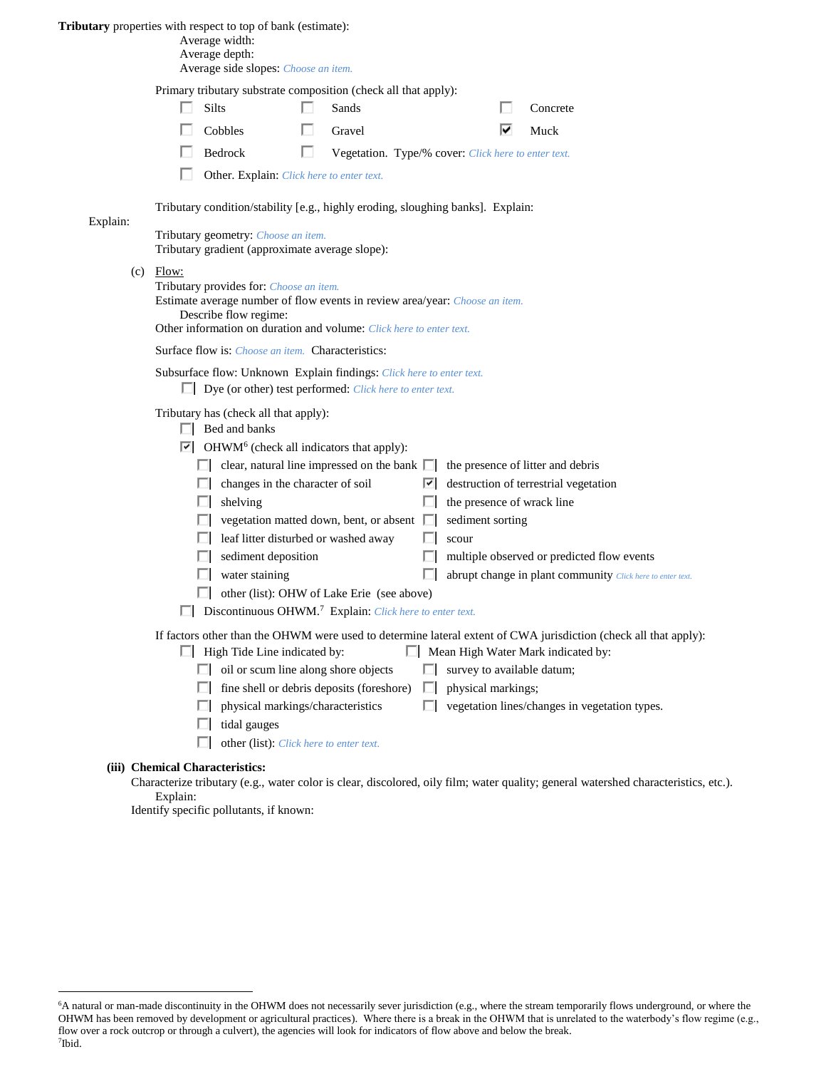### **Tributary** properties with respect to top of bank (estimate):

| Average width: |  |
|----------------|--|
|----------------|--|

Average depth:

| Average side slopes: Choose an item. |  |  |  |
|--------------------------------------|--|--|--|
|--------------------------------------|--|--|--|

| Primary tributary substrate composition (check all that apply): |  |  |  |
|-----------------------------------------------------------------|--|--|--|
|                                                                 |  |  |  |

| $\Box$ Silts   | Sands                                                               | $\Box$ Concrete |
|----------------|---------------------------------------------------------------------|-----------------|
| $\Box$ Cobbles | $\Box$ Gravel                                                       | $\nabla$ Muck   |
| $\Box$ Bedrock | <b>Example 1</b> Vegetation. Type/% cover: Click here to enter text |                 |

Bedrock **Vegetation.** Type/% cover: *Click here to enter text.* 

п. Other. Explain: *Click here to enter text.*

Tributary condition/stability [e.g., highly eroding, sloughing banks]. Explain:

Tributary geometry: *Choose an item.* Tributary gradient (approximate average slope):

 $(c)$  Flow:

Explain:

Tributary provides for: *Choose an item.* Estimate average number of flow events in review area/year: *Choose an item.* Describe flow regime:

Other information on duration and volume: *Click here to enter text.*

Surface flow is: *Choose an item.* Characteristics:

Subsurface flow: Unknown Explain findings: *Click here to enter text.*

Dye (or other) test performed: *Click here to enter text.*

Tributary has (check all that apply):

 $\Box$  Bed and banks

OHWM<sup>6</sup> (check all indicators that apply):

|     | clear, natural line impressed on the bank $\Box$                    |     | the presence of litter and debris                                                                                |
|-----|---------------------------------------------------------------------|-----|------------------------------------------------------------------------------------------------------------------|
|     | changes in the character of soil                                    | ∣∽∣ | destruction of terrestrial vegetation                                                                            |
|     | shelving                                                            |     | the presence of wrack line                                                                                       |
|     | vegetation matted down, bent, or absent $\Box$                      |     | sediment sorting                                                                                                 |
|     | leaf litter disturbed or washed away                                |     | scour                                                                                                            |
|     | sediment deposition                                                 |     | multiple observed or predicted flow events                                                                       |
|     | water staining                                                      |     | abrupt change in plant community Click here to enter text.                                                       |
| . . | other (list): OHW of Lake Erie (see above)                          |     |                                                                                                                  |
|     | Discontinuous OHWM. <sup>7</sup> Explain: Click here to enter text. |     |                                                                                                                  |
|     |                                                                     |     | If factors other than the OHWM were used to determine lateral extent of CWA jurisdiction (check all that apply): |
|     | High Tide Line indicated by:<br>L.                                  |     | Mean High Water Mark indicated by:                                                                               |
|     | oil or scum line along shore objects                                |     | survey to available datum;                                                                                       |
|     |                                                                     |     |                                                                                                                  |

- $\Box$  fine shell or debris deposits (foreshore)  $\Box$  physical markings;
- 
- $\Box$  physical markings/characteristics  $\Box$  vegetation lines/changes in vegetation types.
- $\Box$  tidal gauges
- other (list): *Click here to enter text.*

# **(iii) Chemical Characteristics:**

 $\overline{a}$ 

Characterize tributary (e.g., water color is clear, discolored, oily film; water quality; general watershed characteristics, etc.). Explain:

Identify specific pollutants, if known:

<sup>&</sup>lt;sup>6</sup>A natural or man-made discontinuity in the OHWM does not necessarily sever jurisdiction (e.g., where the stream temporarily flows underground, or where the OHWM has been removed by development or agricultural practices). Where there is a break in the OHWM that is unrelated to the waterbody's flow regime (e.g., flow over a rock outcrop or through a culvert), the agencies will look for indicators of flow above and below the break. 7 Ibid.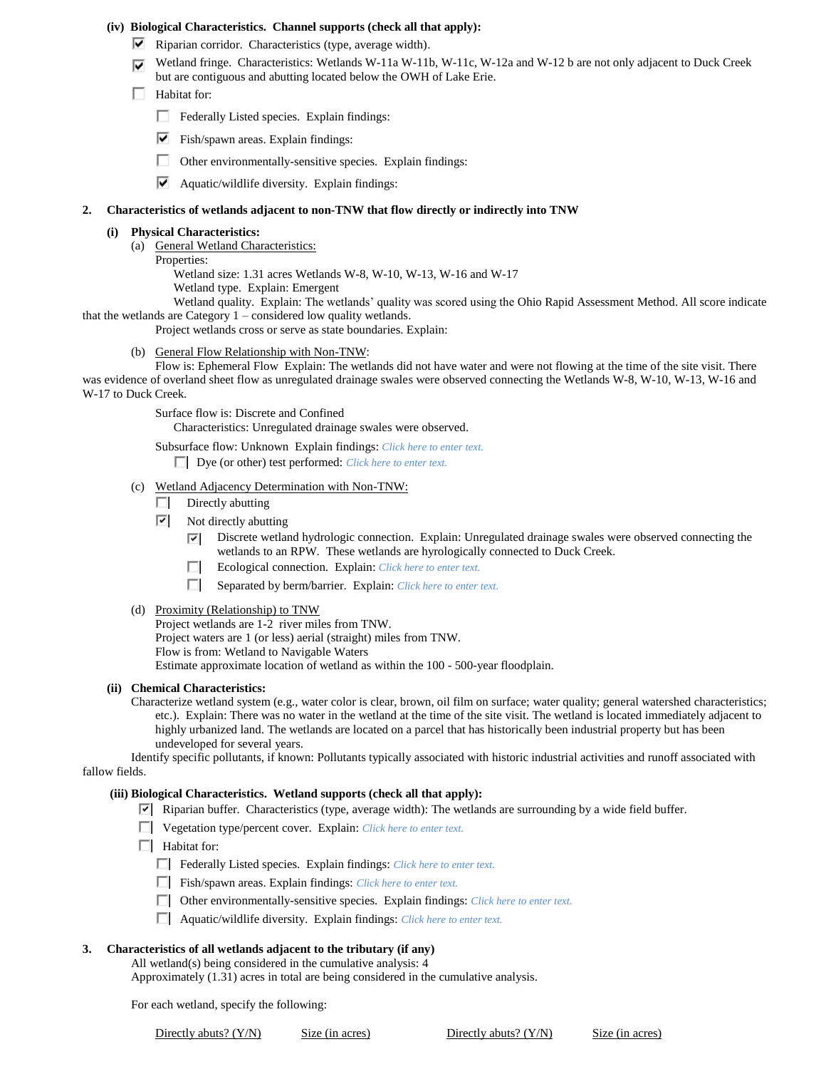### **(iv) Biological Characteristics. Channel supports (check all that apply):**

- $\blacktriangleright$  Riparian corridor. Characteristics (type, average width).
- Wetland fringe. Characteristics: Wetlands W-11a W-11b, W-11c, W-12a and W-12 b are not only adjacent to Duck Creek but are contiguous and abutting located below the OWH of Lake Erie.
- **Habitat for:** 
	- Federally Listed species. Explain findings:
	- ⊽⊹ Fish/spawn areas. Explain findings:
	- П Other environmentally-sensitive species. Explain findings:
	- $\blacktriangleright$  Aquatic/wildlife diversity. Explain findings:

#### **2. Characteristics of wetlands adjacent to non-TNW that flow directly or indirectly into TNW**

#### **(i) Physical Characteristics:**

- (a) General Wetland Characteristics:
	- Properties:

Wetland size: 1.31 acres Wetlands W-8, W-10, W-13, W-16 and W-17

- Wetland type. Explain: Emergent
- Wetland quality. Explain: The wetlands' quality was scored using the Ohio Rapid Assessment Method. All score indicate that the wetlands are Category 1 – considered low quality wetlands.

Project wetlands cross or serve as state boundaries. Explain:

(b) General Flow Relationship with Non-TNW:

Flow is: Ephemeral Flow Explain: The wetlands did not have water and were not flowing at the time of the site visit. There was evidence of overland sheet flow as unregulated drainage swales were observed connecting the Wetlands W-8, W-10, W-13, W-16 and W-17 to Duck Creek.

Surface flow is: Discrete and Confined

Characteristics: Unregulated drainage swales were observed.

Subsurface flow: Unknown Explain findings: *Click here to enter text.* Dye (or other) test performed: *Click here to enter text.*

- (c) Wetland Adjacency Determination with Non-TNW:
	- П. Directly abutting
	- $\boxed{\triangledown}$  Not directly abutting
		- $\nabla$  Discrete wetland hydrologic connection. Explain: Unregulated drainage swales were observed connecting the wetlands to an RPW. These wetlands are hyrologically connected to Duck Creek.
		- п. Ecological connection. Explain: *Click here to enter text.*
		- Separated by berm/barrier. Explain: *Click here to enter text.*
- (d) Proximity (Relationship) to TNW

Project wetlands are 1-2 river miles from TNW. Project waters are 1 (or less) aerial (straight) miles from TNW. Flow is from: Wetland to Navigable Waters Estimate approximate location of wetland as within the 100 - 500-year floodplain.

### **(ii) Chemical Characteristics:**

Characterize wetland system (e.g., water color is clear, brown, oil film on surface; water quality; general watershed characteristics; etc.). Explain: There was no water in the wetland at the time of the site visit. The wetland is located immediately adjacent to highly urbanized land. The wetlands are located on a parcel that has historically been industrial property but has been undeveloped for several years.

Identify specific pollutants, if known: Pollutants typically associated with historic industrial activities and runoff associated with fallow fields.

#### **(iii) Biological Characteristics. Wetland supports (check all that apply):**

Riparian buffer. Characteristics (type, average width): The wetlands are surrounding by a wide field buffer.

- Vegetation type/percent cover. Explain: *Click here to enter text.*
- $\Box$  Habitat for:
	- Federally Listed species. Explain findings: *Click here to enter text*.
	- Fish/spawn areas. Explain findings: *Click here to enter text.*
	- Other environmentally-sensitive species. Explain findings: *Click here to enter text.*
	- Aquatic/wildlife diversity. Explain findings: *Click here to enter text.*

#### **3. Characteristics of all wetlands adjacent to the tributary (if any)**

All wetland(s) being considered in the cumulative analysis: 4

Approximately (1.31) acres in total are being considered in the cumulative analysis.

For each wetland, specify the following:

Directly abuts? (Y/N) Size (in acres) Directly abuts? (Y/N) Size (in acres)

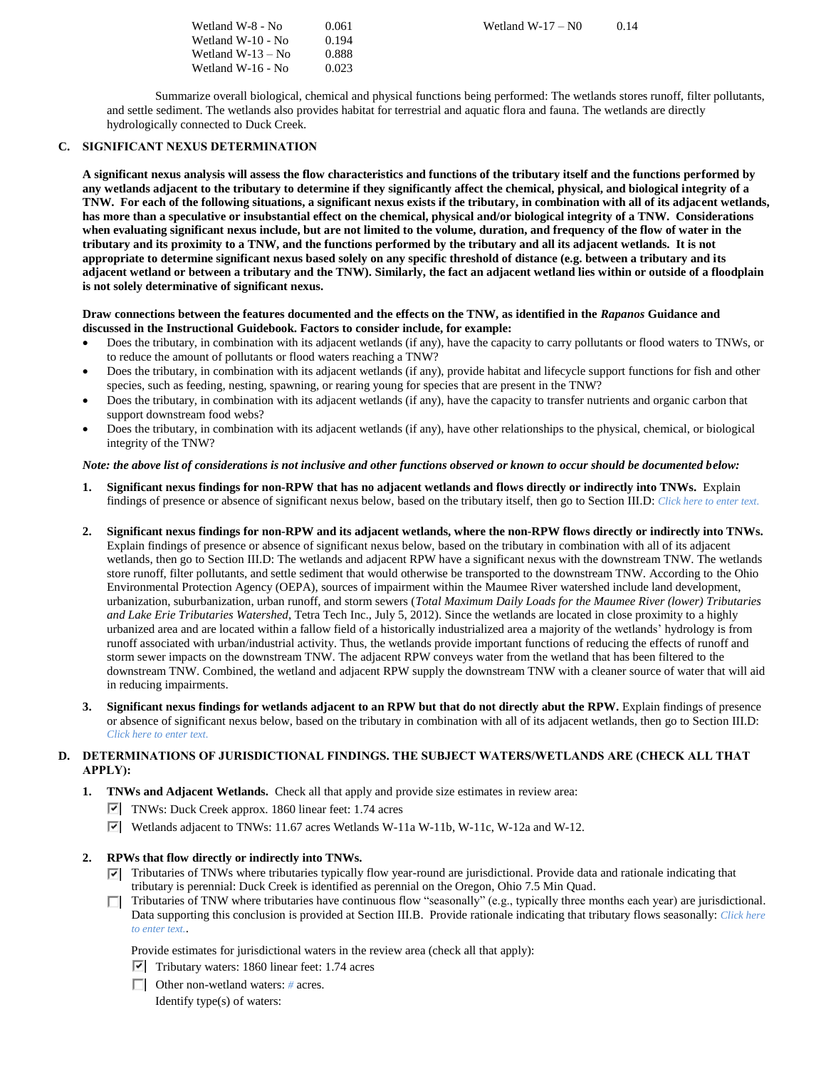| Wetland W-8 - No    | 0.061 |
|---------------------|-------|
| Wetland W-10 - No   | 0.194 |
| Wetland $W-13 - No$ | 0.888 |
| Wetland W-16 - No   | 0.023 |

Wetland W-17 –  $N0 \t 0.14$ 

Summarize overall biological, chemical and physical functions being performed: The wetlands stores runoff, filter pollutants, and settle sediment. The wetlands also provides habitat for terrestrial and aquatic flora and fauna. The wetlands are directly hydrologically connected to Duck Creek.

## **C. SIGNIFICANT NEXUS DETERMINATION**

**A significant nexus analysis will assess the flow characteristics and functions of the tributary itself and the functions performed by any wetlands adjacent to the tributary to determine if they significantly affect the chemical, physical, and biological integrity of a TNW. For each of the following situations, a significant nexus exists if the tributary, in combination with all of its adjacent wetlands, has more than a speculative or insubstantial effect on the chemical, physical and/or biological integrity of a TNW. Considerations when evaluating significant nexus include, but are not limited to the volume, duration, and frequency of the flow of water in the tributary and its proximity to a TNW, and the functions performed by the tributary and all its adjacent wetlands. It is not appropriate to determine significant nexus based solely on any specific threshold of distance (e.g. between a tributary and its adjacent wetland or between a tributary and the TNW). Similarly, the fact an adjacent wetland lies within or outside of a floodplain is not solely determinative of significant nexus.** 

#### **Draw connections between the features documented and the effects on the TNW, as identified in the** *Rapanos* **Guidance and discussed in the Instructional Guidebook. Factors to consider include, for example:**

- Does the tributary, in combination with its adjacent wetlands (if any), have the capacity to carry pollutants or flood waters to TNWs, or to reduce the amount of pollutants or flood waters reaching a TNW?
- Does the tributary, in combination with its adjacent wetlands (if any), provide habitat and lifecycle support functions for fish and other species, such as feeding, nesting, spawning, or rearing young for species that are present in the TNW?
- Does the tributary, in combination with its adjacent wetlands (if any), have the capacity to transfer nutrients and organic carbon that support downstream food webs?
- Does the tributary, in combination with its adjacent wetlands (if any), have other relationships to the physical, chemical, or biological integrity of the TNW?

### *Note: the above list of considerations is not inclusive and other functions observed or known to occur should be documented below:*

- **1. Significant nexus findings for non-RPW that has no adjacent wetlands and flows directly or indirectly into TNWs.** Explain findings of presence or absence of significant nexus below, based on the tributary itself, then go to Section III.D: *Click here to enter text.*
- **2. Significant nexus findings for non-RPW and its adjacent wetlands, where the non-RPW flows directly or indirectly into TNWs.**  Explain findings of presence or absence of significant nexus below, based on the tributary in combination with all of its adjacent wetlands, then go to Section III.D: The wetlands and adjacent RPW have a significant nexus with the downstream TNW. The wetlands store runoff, filter pollutants, and settle sediment that would otherwise be transported to the downstream TNW. According to the Ohio Environmental Protection Agency (OEPA), sources of impairment within the Maumee River watershed include land development, urbanization, suburbanization, urban runoff, and storm sewers (*Total Maximum Daily Loads for the Maumee River (lower) Tributaries and Lake Erie Tributaries Watershed*, Tetra Tech Inc., July 5, 2012). Since the wetlands are located in close proximity to a highly urbanized area and are located within a fallow field of a historically industrialized area a majority of the wetlands' hydrology is from runoff associated with urban/industrial activity. Thus, the wetlands provide important functions of reducing the effects of runoff and storm sewer impacts on the downstream TNW. The adjacent RPW conveys water from the wetland that has been filtered to the downstream TNW. Combined, the wetland and adjacent RPW supply the downstream TNW with a cleaner source of water that will aid in reducing impairments.
- **3. Significant nexus findings for wetlands adjacent to an RPW but that do not directly abut the RPW.** Explain findings of presence or absence of significant nexus below, based on the tributary in combination with all of its adjacent wetlands, then go to Section III.D: *Click here to enter text.*

# **D. DETERMINATIONS OF JURISDICTIONAL FINDINGS. THE SUBJECT WATERS/WETLANDS ARE (CHECK ALL THAT APPLY):**

**1. TNWs and Adjacent Wetlands.** Check all that apply and provide size estimates in review area:

- $\triangledown$  TNWs: Duck Creek approx. 1860 linear feet: 1.74 acres
- Wetlands adjacent to TNWs: 11.67 acres Wetlands W-11a W-11b, W-11c, W-12a and W-12.

# **2. RPWs that flow directly or indirectly into TNWs.**

- $\nabla$  Tributaries of TNWs where tributaries typically flow year-round are jurisdictional. Provide data and rationale indicating that tributary is perennial: Duck Creek is identified as perennial on the Oregon, Ohio 7.5 Min Quad.
- Tributaries of TNW where tributaries have continuous flow "seasonally" (e.g., typically three months each year) are jurisdictional. Data supporting this conclusion is provided at Section III.B. Provide rationale indicating that tributary flows seasonally: *Click here to enter text.*.

Provide estimates for jurisdictional waters in the review area (check all that apply):

- $\triangledown$  Tributary waters: 1860 linear feet: 1.74 acres
- Other non-wetland waters: *#* acres. Identify type(s) of waters: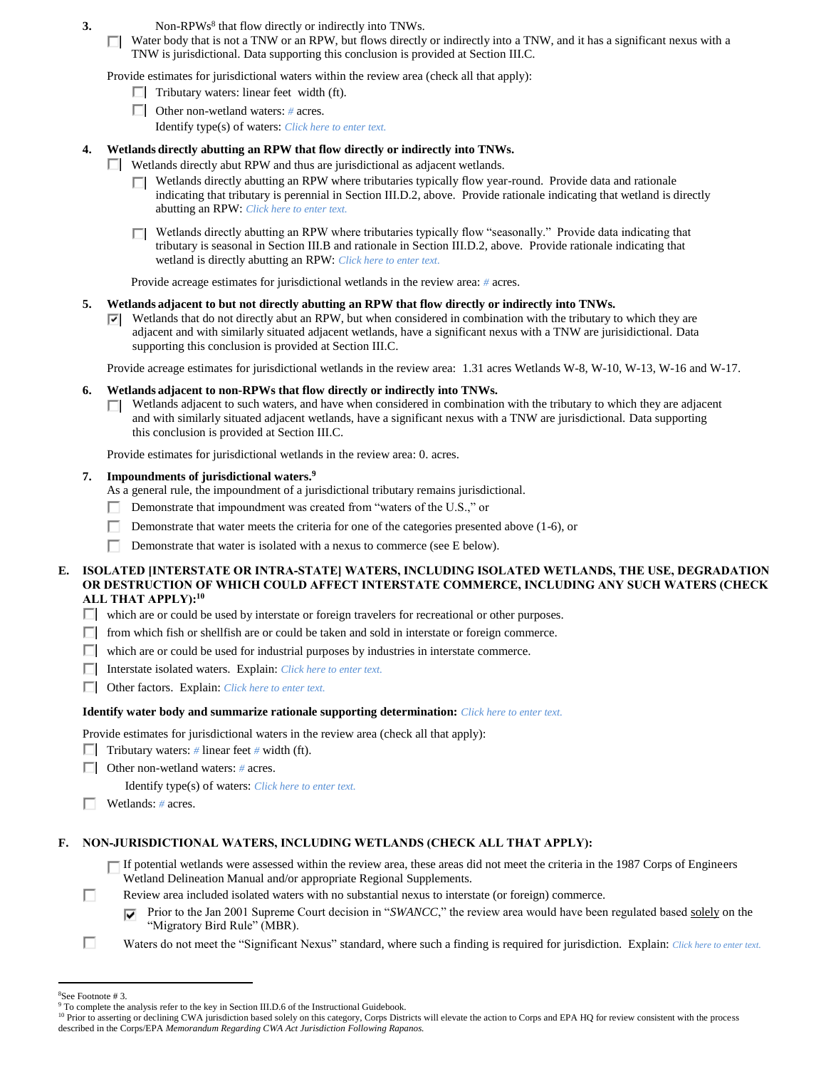- **3.** Non-RPWs<sup>8</sup> that flow directly or indirectly into TNWs.
	- $\Box$  Water body that is not a TNW or an RPW, but flows directly or indirectly into a TNW, and it has a significant nexus with a TNW is jurisdictional. Data supporting this conclusion is provided at Section III.C.

Provide estimates for jurisdictional waters within the review area (check all that apply):

- $\Box$  Tributary waters: linear feet width (ft).
- Other non-wetland waters: *#* acres. Identify type(s) of waters: *Click here to enter text.*

## **4. Wetlands directly abutting an RPW that flow directly or indirectly into TNWs.**

- Wetlands directly abut RPW and thus are jurisdictional as adjacent wetlands.
	- Wetlands directly abutting an RPW where tributaries typically flow year-round. Provide data and rationale indicating that tributary is perennial in Section III.D.2, above. Provide rationale indicating that wetland is directly abutting an RPW: *Click here to enter text.*
	- □ Wetlands directly abutting an RPW where tributaries typically flow "seasonally." Provide data indicating that tributary is seasonal in Section III.B and rationale in Section III.D.2, above. Provide rationale indicating that wetland is directly abutting an RPW: *Click here to enter text.*

Provide acreage estimates for jurisdictional wetlands in the review area: *#* acres.

### **5. Wetlands adjacent to but not directly abutting an RPW that flow directly or indirectly into TNWs.**

 $\nabla$  Wetlands that do not directly abut an RPW, but when considered in combination with the tributary to which they are adjacent and with similarly situated adjacent wetlands, have a significant nexus with a TNW are jurisidictional. Data supporting this conclusion is provided at Section III.C.

Provide acreage estimates for jurisdictional wetlands in the review area: 1.31 acres Wetlands W-8, W-10, W-13, W-16 and W-17.

### **6. Wetlands adjacent to non-RPWs that flow directly or indirectly into TNWs.**

 $\Box$  Wetlands adjacent to such waters, and have when considered in combination with the tributary to which they are adjacent and with similarly situated adjacent wetlands, have a significant nexus with a TNW are jurisdictional. Data supporting this conclusion is provided at Section III.C.

Provide estimates for jurisdictional wetlands in the review area: 0. acres.

### **7. Impoundments of jurisdictional waters. 9**

As a general rule, the impoundment of a jurisdictional tributary remains jurisdictional.

- Demonstrate that impoundment was created from "waters of the U.S.," or ш
- Г Demonstrate that water meets the criteria for one of the categories presented above (1-6), or
- п Demonstrate that water is isolated with a nexus to commerce (see E below).

### **E. ISOLATED [INTERSTATE OR INTRA-STATE] WATERS, INCLUDING ISOLATED WETLANDS, THE USE, DEGRADATION OR DESTRUCTION OF WHICH COULD AFFECT INTERSTATE COMMERCE, INCLUDING ANY SUCH WATERS (CHECK ALL THAT APPLY):<sup>10</sup>**

- $\Box$  which are or could be used by interstate or foreign travelers for recreational or other purposes.
- $\Box$  from which fish or shellfish are or could be taken and sold in interstate or foreign commerce.
- $\Box$  which are or could be used for industrial purposes by industries in interstate commerce.
- Interstate isolated waters.Explain: *Click here to enter text.*
- Other factors.Explain: *Click here to enter text.*

#### **Identify water body and summarize rationale supporting determination:** *Click here to enter text.*

Provide estimates for jurisdictional waters in the review area (check all that apply):

- Tributary waters:  $\#$  linear feet  $\#$  width (ft).
- Other non-wetland waters: *#* acres.

Identify type(s) of waters: *Click here to enter text.*

Wetlands: *#* acres.

# **F. NON-JURISDICTIONAL WATERS, INCLUDING WETLANDS (CHECK ALL THAT APPLY):**

- $\Box$  If potential wetlands were assessed within the review area, these areas did not meet the criteria in the 1987 Corps of Engineers Wetland Delineation Manual and/or appropriate Regional Supplements.
- п Review area included isolated waters with no substantial nexus to interstate (or foreign) commerce.
	- Prior to the Jan 2001 Supreme Court decision in "*SWANCC*," the review area would have been regulated based solely on the ⊽ "Migratory Bird Rule" (MBR).
- П Waters do not meet the "Significant Nexus" standard, where such a finding is required for jurisdiction. Explain: *Click here to enter text.*

 $\overline{a}$ 

<sup>8</sup>See Footnote # 3.

<sup>&</sup>lt;sup>9</sup> To complete the analysis refer to the key in Section III.D.6 of the Instructional Guidebook.

<sup>&</sup>lt;sup>10</sup> Prior to asserting or declining CWA jurisdiction based solely on this category, Corps Districts will elevate the action to Corps and EPA HQ for review consistent with the process described in the Corps/EPA *Memorandum Regarding CWA Act Jurisdiction Following Rapanos.*